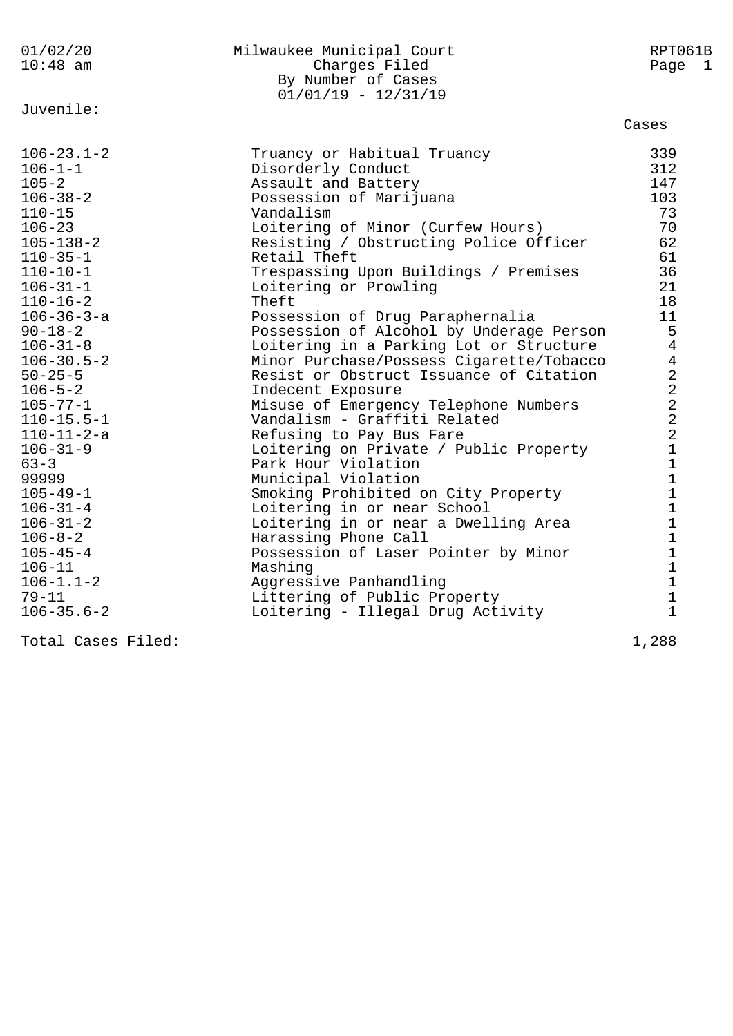| 01/02/20<br>$10:48$ am                                                                                                                                                                                                                                                                                                                                                                                                                                                                                                                                               | Milwaukee Municipal Court<br>Charges Filed<br>By Number of Cases<br>$01/01/19 - 12/31/19$                                                                                                                                                                                                                                                                                                                                                                                                                                                                                                                                                                                                                                                                                                                                                                                                                                                                                                                              | RPT061B<br>Page 1                                                                                                                                                                                                                                                                                                                                                                             |
|----------------------------------------------------------------------------------------------------------------------------------------------------------------------------------------------------------------------------------------------------------------------------------------------------------------------------------------------------------------------------------------------------------------------------------------------------------------------------------------------------------------------------------------------------------------------|------------------------------------------------------------------------------------------------------------------------------------------------------------------------------------------------------------------------------------------------------------------------------------------------------------------------------------------------------------------------------------------------------------------------------------------------------------------------------------------------------------------------------------------------------------------------------------------------------------------------------------------------------------------------------------------------------------------------------------------------------------------------------------------------------------------------------------------------------------------------------------------------------------------------------------------------------------------------------------------------------------------------|-----------------------------------------------------------------------------------------------------------------------------------------------------------------------------------------------------------------------------------------------------------------------------------------------------------------------------------------------------------------------------------------------|
| Juvenile:                                                                                                                                                                                                                                                                                                                                                                                                                                                                                                                                                            |                                                                                                                                                                                                                                                                                                                                                                                                                                                                                                                                                                                                                                                                                                                                                                                                                                                                                                                                                                                                                        | Cases                                                                                                                                                                                                                                                                                                                                                                                         |
| $106 - 23.1 - 2$<br>$106 - 1 - 1$<br>$105 - 2$<br>$106 - 38 - 2$<br>$110 - 15$<br>$106 - 23$<br>$105 - 138 - 2$<br>$110 - 35 - 1$<br>$110 - 10 - 1$<br>$106 - 31 - 1$<br>$110 - 16 - 2$<br>$106 - 36 - 3 - a$<br>$90 - 18 - 2$<br>$106 - 31 - 8$<br>$106 - 30.5 - 2$<br>$50 - 25 - 5$<br>$106 - 5 - 2$<br>$105 - 77 - 1$<br>$110 - 15.5 - 1$<br>$110 - 11 - 2 - a$<br>$106 - 31 - 9$<br>$63 - 3$<br>99999<br>$105 - 49 - 1$<br>$106 - 31 - 4$<br>$106 - 31 - 2$<br>$106 - 8 - 2$<br>$105 - 45 - 4$<br>$106 - 11$<br>$106 - 1.1 - 2$<br>$79 - 11$<br>$106 - 35.6 - 2$ | Truancy or Habitual Truancy<br>Disorderly Conduct<br>Assault and Battery<br>Possession of Marijuana<br>Vandalism<br>Loitering of Minor (Curfew Hours)<br>Resisting / Obstructing Police Officer<br>Retail Theft<br>Trespassing Upon Buildings / Premises<br>Loitering or Prowling<br>Theft<br>Possession of Drug Paraphernalia<br>Possession of Alcohol by Underage Person<br>Loitering in a Parking Lot or Structure<br>Minor Purchase/Possess Cigarette/Tobacco<br>Resist or Obstruct Issuance of Citation<br>Indecent Exposure<br>Misuse of Emergency Telephone Numbers<br>Vandalism - Graffiti Related<br>Refusing to Pay Bus Fare<br>Loitering on Private / Public Property<br>Park Hour Violation<br>Municipal Violation<br>Smoking Prohibited on City Property<br>Loitering in or near School<br>Loitering in or near a Dwelling Area<br>Harassing Phone Call<br>Possession of Laser Pointer by Minor<br>Mashing<br>Aggressive Panhandling<br>Littering of Public Property<br>Loitering - Illegal Drug Activity | 339<br>312<br>147<br>103<br>73<br>70<br>62<br>61<br>36<br>21<br>18<br>11<br>5<br>$\overline{4}$<br>$\overline{4}$<br>$\sqrt{2}$<br>$\overline{a}$<br>$\overline{2}$<br>$\overline{a}$<br>$\overline{2}$<br>$\mathbf 1$<br>$\mathbf 1$<br>$\mathbf 1$<br>$\mathbf 1$<br>$\mathbf{1}$<br>$\mathbf 1$<br>$\mathbf 1$<br>$\mathbf 1$<br>$\mathbf 1$<br>$\mathbf 1$<br>$\mathbf 1$<br>$\mathbf{1}$ |
|                                                                                                                                                                                                                                                                                                                                                                                                                                                                                                                                                                      |                                                                                                                                                                                                                                                                                                                                                                                                                                                                                                                                                                                                                                                                                                                                                                                                                                                                                                                                                                                                                        |                                                                                                                                                                                                                                                                                                                                                                                               |

Total Cases Filed: 1,288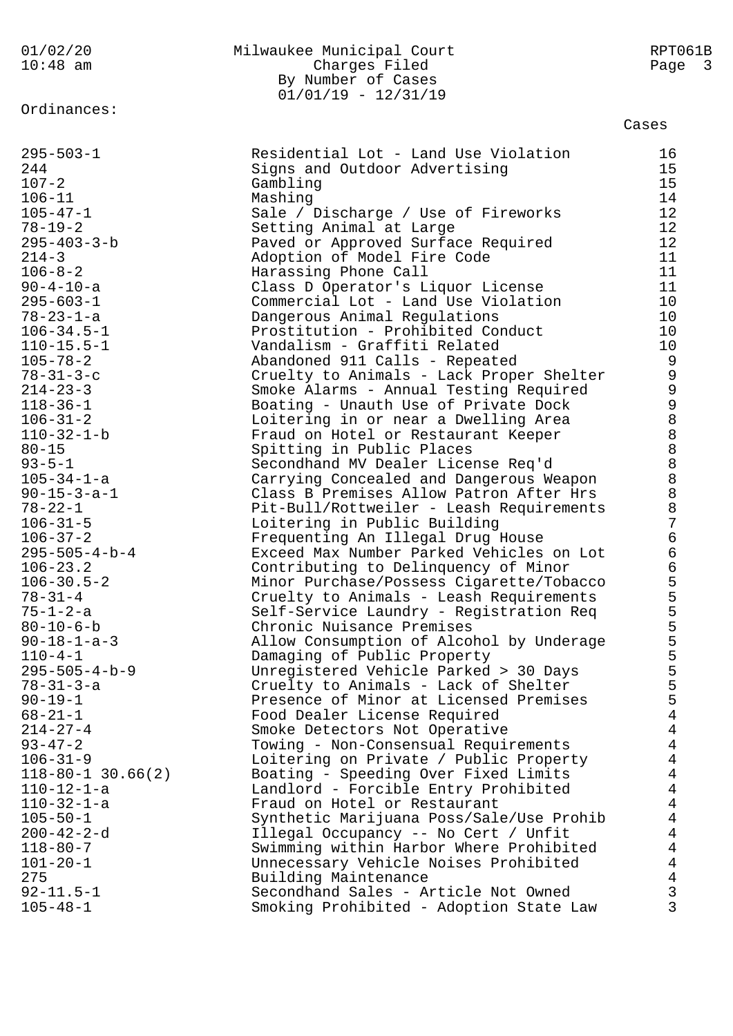01/02/20 Milwaukee Municipal Court RPT061B 10:48 am Charges Filed Page 3 By Number of Cases  $01/01/19 - 12/31/19$ Ordinances: Cases 295-503-1 Residential Lot - Land Use Violation 16 244 Signs and Outdoor Advertising 15 107-2 Gambling Gambling 15 106-11 Mashing Mashing 14 105-47-1 Sale / Discharge / Use of Fireworks 12 78-19-2 Setting Animal at Large 12 295-403-3-b Paved or Approved Surface Required 12 214-3 Adoption of Model Fire Code 11 106-8-2 Harassing Phone Call 11 90-4-10-a Class D Operator's Liquor License 11 295-603-1 Commercial Lot - Land Use Violation 10 78-23-1-a Dangerous Animal Regulations 10 106-34.5-1 Prostitution - Prohibited Conduct 10 110-15.5-1 Vandalism - Graffiti Related 10 105-78-2 Abandoned 911 Calls - Repeated 9 78-31-3-c Cruelty to Animals - Lack Proper Shelter 9 214-23-3 Smoke Alarms - Annual Testing Required 9 118-36-1 Boating - Unauth Use of Private Dock 9 106-31-2 Loitering in or near a Dwelling Area 8 110-32-1-b Fraud on Hotel or Restaurant Keeper 8 80-15 Spitting in Public Places 8 93-5-1 Secondhand MV Dealer License Req'd 8 105-34-1-a Carrying Concealed and Dangerous Weapon 8 90-15-3-a-1 Class B Premises Allow Patron After Hrs 8 78-22-1 Pit-Bull/Rottweiler - Leash Requirements 8 106-31-5 Loitering in Public Building 7 106-37-2 Frequenting An Illegal Drug House 6 295-505-4-b-4 Exceed Max Number Parked Vehicles on Lot 6 106-23.2 Contributing to Delinquency of Minor 6 106-30.5-2 Minor Purchase/Possess Cigarette/Tobacco 5 78-31-4 Cruelty to Animals - Leash Requirements 5 75-1-2-a Self-Service Laundry - Registration Req 5 80-10-6-b Chronic Nuisance Premises 5 90-18-1-a-3 Allow Consumption of Alcohol by Underage 5 110-4-1 Damaging of Public Property 5 295-505-4-b-9 Unregistered Vehicle Parked > 30 Days 5 78-31-3-a Cruelty to Animals - Lack of Shelter 5 90-19-1 Presence of Minor at Licensed Premises 5 68-21-1 Food Dealer License Required 4 214-27-4 Smoke Detectors Not Operative 4 93-47-2 Towing - Non-Consensual Requirements 4 106-31-9 Loitering on Private / Public Property 4 118-80-1 30.66(2) Boating - Speeding Over Fixed Limits 4 110-12-1-a Landlord - Forcible Entry Prohibited 4 110-32-1-a Fraud on Hotel or Restaurant 4 105-50-1 Synthetic Marijuana Poss/Sale/Use Prohib 4 200-42-2-d Illegal Occupancy -- No Cert / Unfit 4 118-80-7 Swimming within Harbor Where Prohibited 4 101-20-1 Unnecessary Vehicle Noises Prohibited 4 275 Building Maintenance 4 92-11.5-1 Secondhand Sales - Article Not Owned 3 105-48-1 Smoking Prohibited - Adoption State Law 3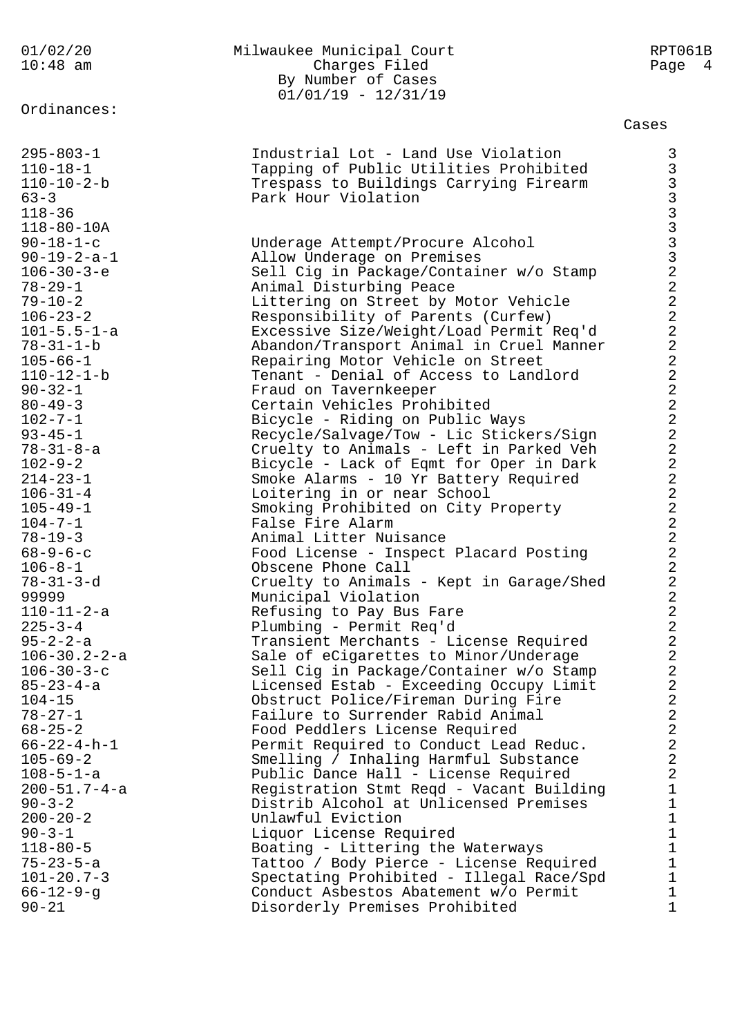| 01/02/20<br>$10:48$ am                     | Milwaukee Municipal Court<br>Charges Filed                                    | RPT061B<br>Page 4                                                               |
|--------------------------------------------|-------------------------------------------------------------------------------|---------------------------------------------------------------------------------|
|                                            | By Number of Cases<br>$01/01/19 - 12/31/19$                                   |                                                                                 |
| Ordinances:                                |                                                                               | Cases                                                                           |
|                                            |                                                                               |                                                                                 |
| $295 - 803 - 1$                            | Industrial Lot - Land Use Violation                                           | 3                                                                               |
| $110 - 18 - 1$                             | Tapping of Public Utilities Prohibited                                        |                                                                                 |
| $110 - 10 - 2 - b$                         | Trespass to Buildings Carrying Firearm                                        |                                                                                 |
| $63 - 3$                                   | Park Hour Violation                                                           |                                                                                 |
| $118 - 36$                                 |                                                                               |                                                                                 |
| $118 - 80 - 10A$                           |                                                                               |                                                                                 |
| $90 - 18 - 1 - c$<br>$90 - 19 - 2 - a - 1$ | Underage Attempt/Procure Alcohol                                              |                                                                                 |
| $106 - 30 - 3 - e$                         | Allow Underage on Premises<br>Sell Cig in Package/Container w/o Stamp         |                                                                                 |
| $78 - 29 - 1$                              | Animal Disturbing Peace                                                       | 3<br>3<br>3<br>3<br>3<br>3<br>3<br>3<br>3<br>2<br>2<br><br><br><br><br><br><br> |
| $79 - 10 - 2$                              | Littering on Street by Motor Vehicle                                          |                                                                                 |
| $106 - 23 - 2$                             | Responsibility of Parents (Curfew)                                            | $\overline{a}$                                                                  |
| $101 - 5.5 - 1 - a$                        | Excessive Size/Weight/Load Permit Req'd                                       | $\overline{a}$                                                                  |
| $78 - 31 - 1 - b$                          | Abandon/Transport Animal in Cruel Manner                                      | $\overline{a}$                                                                  |
| $105 - 66 - 1$                             | Repairing Motor Vehicle on Street                                             | $\overline{a}$                                                                  |
| $110 - 12 - 1 - b$                         | Tenant - Denial of Access to Landlord                                         | $\overline{a}$                                                                  |
| $90 - 32 - 1$                              | Fraud on Tavernkeeper                                                         | $\overline{a}$                                                                  |
| $80 - 49 - 3$                              | Certain Vehicles Prohibited                                                   | $\frac{2}{2}$                                                                   |
| $102 - 7 - 1$                              | Bicycle - Riding on Public Ways                                               |                                                                                 |
| $93 - 45 - 1$                              | Recycle/Salvage/Tow - Lic Stickers/Sign                                       | $\overline{a}$                                                                  |
| $78 - 31 - 8 - a$                          | Cruelty to Animals - Left in Parked Veh                                       | $\sqrt{2}$                                                                      |
| $102 - 9 - 2$                              | Bicycle - Lack of Eqmt for Oper in Dark                                       | $\sqrt{2}$                                                                      |
| $214 - 23 - 1$                             | Smoke Alarms - 10 Yr Battery Required                                         | $\overline{a}$                                                                  |
| $106 - 31 - 4$                             | Loitering in or near School                                                   | $\overline{a}$<br>$\overline{a}$                                                |
| $105 - 49 - 1$                             | Smoking Prohibited on City Property                                           | $\overline{a}$                                                                  |
| $104 - 7 - 1$<br>$78 - 19 - 3$             | False Fire Alarm<br>Animal Litter Nuisance                                    | $\overline{a}$                                                                  |
| $68 - 9 - 6 - c$                           | Food License - Inspect Placard Posting                                        | $\overline{c}$                                                                  |
| $106 - 8 - 1$                              | Obscene Phone Call                                                            | $\overline{2}$                                                                  |
| $78 - 31 - 3 - d$                          | Cruelty to Animals - Kept in Garage/Shed                                      | $\overline{2}$                                                                  |
| 99999                                      | Municipal Violation                                                           | 2                                                                               |
| $110 - 11 - 2 - a$                         | Refusing to Pay Bus Fare                                                      | $\overline{2}$                                                                  |
| $225 - 3 - 4$                              | Plumbing - Permit Req'd                                                       | $\overline{a}$                                                                  |
| $95 - 2 - 2 - a$                           | Transient Merchants - License Required                                        | $\overline{a}$                                                                  |
| $106 - 30.2 - 2 - a$                       | Sale of eCigarettes to Minor/Underage                                         | $\overline{2}$                                                                  |
| $106 - 30 - 3 - c$                         | Sell Cig in Package/Container w/o Stamp                                       | $\overline{c}$                                                                  |
| $85 - 23 - 4 - a$                          | Licensed Estab - Exceeding Occupy Limit                                       | $\overline{2}$                                                                  |
| $104 - 15$                                 | Obstruct Police/Fireman During Fire                                           | $\overline{c}$                                                                  |
| $78 - 27 - 1$                              | Failure to Surrender Rabid Animal                                             | $\overline{c}$                                                                  |
| $68 - 25 - 2$                              | Food Peddlers License Required                                                | $\overline{2}$<br>$\overline{2}$                                                |
| $66 - 22 - 4 - h - 1$<br>$105 - 69 - 2$    | Permit Required to Conduct Lead Reduc.                                        | $\overline{a}$                                                                  |
| $108 - 5 - 1 - a$                          | Smelling / Inhaling Harmful Substance<br>Public Dance Hall - License Required | $\overline{2}$                                                                  |
| $200 - 51.7 - 4 - a$                       | Registration Stmt Regd - Vacant Building                                      | $1\,$                                                                           |
| $90 - 3 - 2$                               | Distrib Alcohol at Unlicensed Premises                                        | $\mathbf{1}$                                                                    |
| $200 - 20 - 2$                             | Unlawful Eviction                                                             | $\mathbf 1$                                                                     |
| $90 - 3 - 1$                               | Liquor License Required                                                       | $1\,$                                                                           |
| $118 - 80 - 5$                             | Boating - Littering the Waterways                                             | $\mathbf{1}$                                                                    |
| $75 - 23 - 5 - a$                          | Tattoo / Body Pierce - License Required                                       | $\mathbf{1}$                                                                    |
| $101 - 20.7 - 3$                           | Spectating Prohibited - Illegal Race/Spd                                      | $\mathbf{1}$                                                                    |
| $66 - 12 - 9 - g$                          | Conduct Asbestos Abatement w/o Permit                                         | $\mathbf 1$                                                                     |
| $90 - 21$                                  | Disorderly Premises Prohibited                                                | $\mathbf{1}$                                                                    |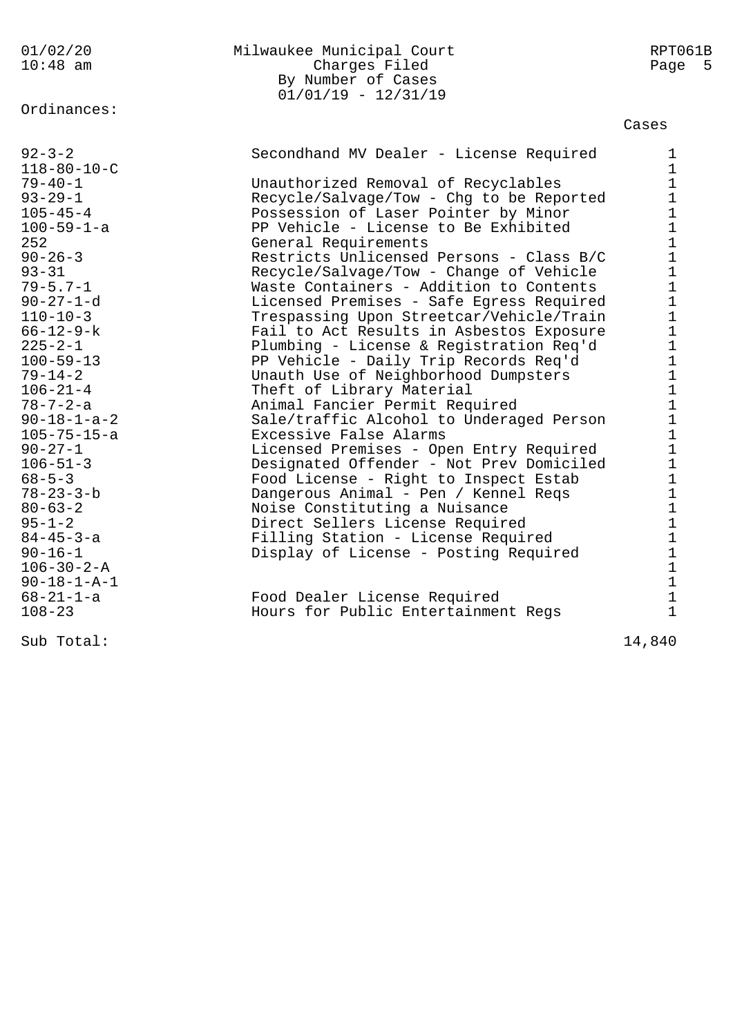Ordinances:

## 01/02/20 Milwaukee Municipal Court RPT061B 10:48 am Charges Filed Page 5 By Number of Cases 01/01/19 - 12/31/19

| $92 - 3 - 2$<br>$118 - 80 - 10 - C$ | Secondhand MV Dealer - License Required  | 1<br>$\mathbf 1$                             |
|-------------------------------------|------------------------------------------|----------------------------------------------|
| $79 - 40 - 1$                       | Unauthorized Removal of Recyclables      | $1\,$                                        |
| $93 - 29 - 1$                       | Recycle/Salvage/Tow - Chg to be Reported |                                              |
| $105 - 45 - 4$                      | Possession of Laser Pointer by Minor     | $\begin{array}{c} 1 \\ 1 \end{array}$        |
| $100 - 59 - 1 - a$                  | PP Vehicle - License to Be Exhibited     | $\mathbf{1}$                                 |
| 252                                 | General Requirements                     | $\mathbf 1$                                  |
| $90 - 26 - 3$                       | Restricts Unlicensed Persons - Class B/C | $1\,$                                        |
| $93 - 31$                           | Recycle/Salvage/Tow - Change of Vehicle  | $\mathbf 1$                                  |
| $79 - 5.7 - 1$                      | Waste Containers - Addition to Contents  | $\mathbf{1}$                                 |
| $90 - 27 - 1 - d$                   | Licensed Premises - Safe Egress Required | $\mathbf 1$                                  |
| $110 - 10 - 3$                      | Trespassing Upon Streetcar/Vehicle/Train | $\mathbf{1}$                                 |
| $66 - 12 - 9 - k$                   | Fail to Act Results in Asbestos Exposure | $\mathbf 1$                                  |
| $225 - 2 - 1$                       | Plumbing - License & Registration Req'd  | $\mathbf 1$                                  |
| $100 - 59 - 13$                     | PP Vehicle - Daily Trip Records Req'd    | $\mathbf 1$                                  |
| $79 - 14 - 2$                       | Unauth Use of Neighborhood Dumpsters     | $\mathbf 1$                                  |
| $106 - 21 - 4$                      | Theft of Library Material                | $\mathbf{1}$                                 |
| $78 - 7 - 2 - a$                    | Animal Fancier Permit Required           | $\mathbf 1$                                  |
| $90 - 18 - 1 - a - 2$               | Sale/traffic Alcohol to Underaged Person |                                              |
| $105 - 75 - 15 - a$                 | Excessive False Alarms                   | $\begin{array}{c} 1 \\ 1 \end{array}$        |
| $90 - 27 - 1$                       | Licensed Premises - Open Entry Required  | $\mathbf 1$                                  |
| $106 - 51 - 3$                      | Designated Offender - Not Prev Domiciled | $\mathbf{1}$                                 |
| $68 - 5 - 3$                        | Food License - Right to Inspect Estab    | $1\,$                                        |
| $78 - 23 - 3 - b$                   | Dangerous Animal - Pen / Kennel Reqs     | $\mathbf 1$                                  |
| $80 - 63 - 2$                       | Noise Constituting a Nuisance            | $\mathbf{1}$                                 |
| $95 - 1 - 2$                        | Direct Sellers License Required          | $\mathbf 1$                                  |
| $84 - 45 - 3 - a$                   | Filling Station - License Required       | $\mathbf 1$                                  |
| $90 - 16 - 1$                       | Display of License - Posting Required    |                                              |
| $106 - 30 - 2 - A$                  |                                          | $\begin{array}{c}\n1 \\ 1 \\ 1\n\end{array}$ |
| $90 - 18 - 1 - A - 1$               |                                          |                                              |
| $68 - 21 - 1 - a$                   | Food Dealer License Required             |                                              |
| $108 - 23$                          | Hours for Public Entertainment Regs      | $\mathbf{1}$                                 |
| Sub Total:                          |                                          | 14,840                                       |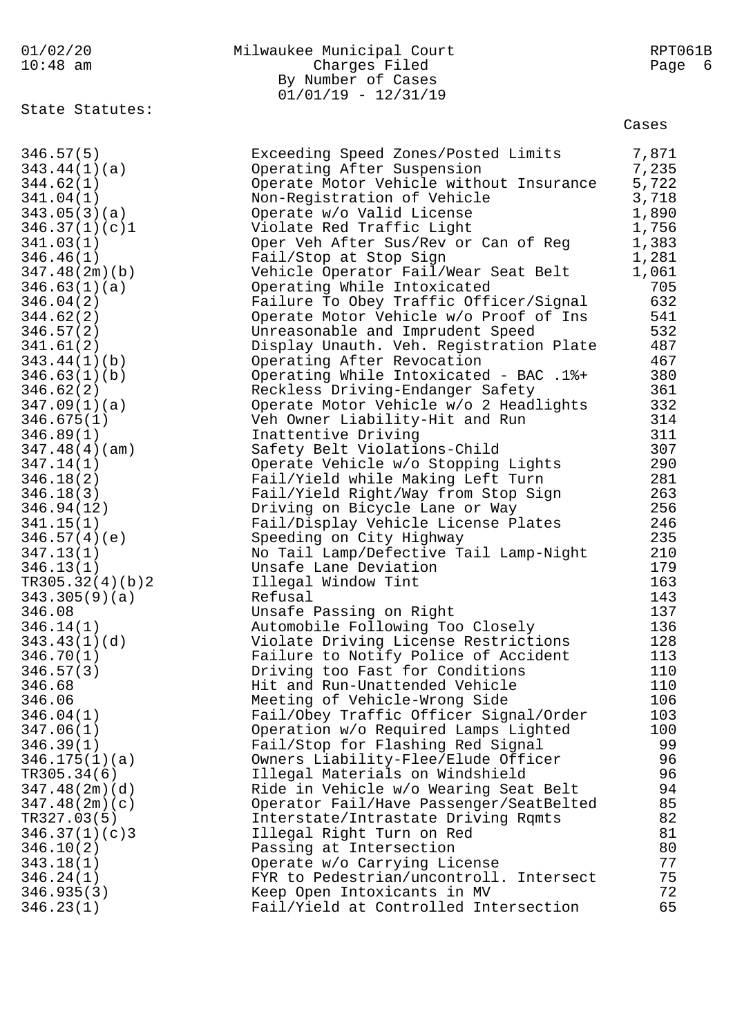| 01/02/20<br>$10:48$ am  | Milwaukee Municipal Court<br>Charges Filed<br>By Number of Cases<br>$01/01/19 - 12/31/19$ | RPT061B<br>Page<br>- 6 |
|-------------------------|-------------------------------------------------------------------------------------------|------------------------|
| State Statutes:         |                                                                                           | Cases                  |
| 346.57(5)               | Exceeding Speed Zones/Posted Limits                                                       | 7,871                  |
| 343.44(1)(a)            | Operating After Suspension                                                                | 7,235                  |
| 344.62(1)               | Operate Motor Vehicle without Insurance                                                   | 5,722                  |
| 341.04(1)               | Non-Registration of Vehicle                                                               | 3,718                  |
| 343.05(3)(a)            | Operate w/o Valid License                                                                 | 1,890                  |
| 346.37(1)(c)1           | Violate Red Traffic Light                                                                 | 1,756                  |
| 341.03(1)               | Oper Veh After Sus/Rev or Can of Reg                                                      | 1,383                  |
| 346.46(1)               | Fail/Stop at Stop Sign                                                                    | 1,281                  |
| 347.48(2m)(b)           | Vehicle Operator Fail/Wear Seat Belt                                                      | 1,061                  |
| 346.63(1)(a)            | Operating While Intoxicated                                                               | 705                    |
| 346.04(2)               | Failure To Obey Traffic Officer/Signal                                                    | 632                    |
| 344.62(2)               | Operate Motor Vehicle w/o Proof of Ins                                                    | 541<br>532             |
| 346.57(2)<br>341.61(2)  | Unreasonable and Imprudent Speed<br>Display Unauth. Veh. Registration Plate               | 487                    |
| 343.44(1)(b)            | Operating After Revocation                                                                | 467                    |
| 346.63(1)(b)            | Operating While Intoxicated - BAC .1%+                                                    | 380                    |
| 346.62(2)               | Reckless Driving-Endanger Safety                                                          | 361                    |
| 347.09(1)(a)            | Operate Motor Vehicle w/o 2 Headlights                                                    | 332                    |
| 346.675(1)              | Veh Owner Liability-Hit and Run                                                           | 314                    |
| 346.89(1)               | Inattentive Driving                                                                       | 311                    |
| 347.48(4)(am)           | Safety Belt Violations-Child                                                              | 307                    |
| 347.14(1)               | Operate Vehicle w/o Stopping Lights                                                       | 290                    |
| 346.18(2)               | Fail/Yield while Making Left Turn                                                         | 281                    |
| 346.18(3)               | Fail/Yield Right/Way from Stop Sign                                                       | 263                    |
| 346.94(12)              | Driving on Bicycle Lane or Way                                                            | 256                    |
| 341.15(1)               | Fail/Display Vehicle License Plates                                                       | 246                    |
| 346.57(4)(e)            | Speeding on City Highway                                                                  | 235                    |
| 347.13(1)               | No Tail Lamp/Defective Tail Lamp-Night                                                    | 210                    |
| 346.13(1)               | Unsafe Lane Deviation                                                                     | 179                    |
| TR305.32(4)(b)2         | Illegal Window Tint                                                                       | 163                    |
| 343.305(9)(a)           | Refusal                                                                                   | 143                    |
| 346.08<br>346.14(1)     | Unsafe Passing on Right<br>Automobile Following Too Closely                               | 137<br>136             |
| 343.43(1)(d)            | Violate Driving License Restrictions                                                      | 128                    |
| 346.70(1)               | Failure to Notify Police of Accident                                                      | 113                    |
| 346.57(3)               | Driving too Fast for Conditions                                                           | 110                    |
| 346.68                  | Hit and Run-Unattended Vehicle                                                            | 110                    |
| 346.06                  | Meeting of Vehicle-Wrong Side                                                             | 106                    |
| 346.04(1)               | Fail/Obey Traffic Officer Signal/Order                                                    | 103                    |
| 347.06(1)               | Operation w/o Required Lamps Lighted                                                      | 100                    |
| 346.39(1)               | Fail/Stop for Flashing Red Signal                                                         | 99                     |
| 346.175(1)(a)           | Owners Liability-Flee/Elude Officer                                                       | 96                     |
| TR305.34(6)             | Illegal Materials on Windshield                                                           | 96                     |
| 347.48(2m)(d)           | Ride in Vehicle w/o Wearing Seat Belt                                                     | 94                     |
| 347.48(2m)(c)           | Operator Fail/Have Passenger/SeatBelted                                                   | 85                     |
| TR327.03(5)             | Interstate/Intrastate Driving Rqmts                                                       | 82                     |
| 346.37(1)(c)3           | Illegal Right Turn on Red                                                                 | 81                     |
| 346.10(2)               | Passing at Intersection                                                                   | 80                     |
| 343.18(1)               | Operate w/o Carrying License                                                              | 77                     |
| 346.24(1)<br>346.935(3) | FYR to Pedestrian/uncontroll. Intersect<br>Keep Open Intoxicants in MV                    | 75<br>72               |
| 346.23(1)               | Fail/Yield at Controlled Intersection                                                     | 65                     |
|                         |                                                                                           |                        |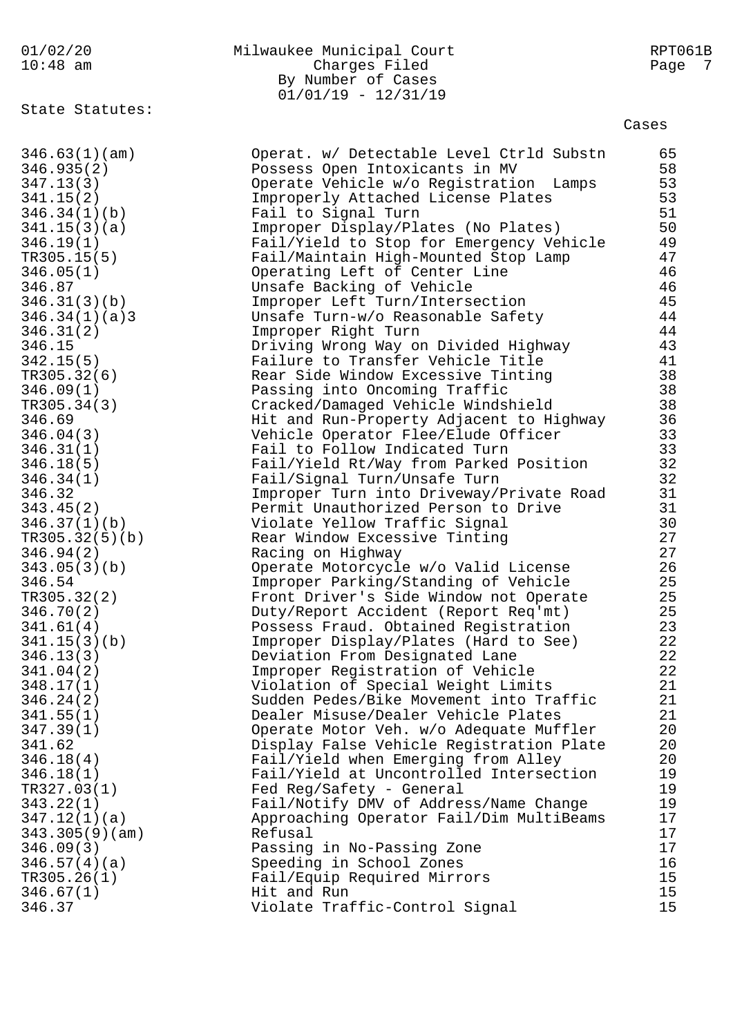## 01/02/20 Milwaukee Municipal Court RPT061B 10:48 am Charges Filed Page 7 By Number of Cases 01/01/19 - 12/31/19

State Statutes:

| 346.63(1)(am)  | Operat. w/ Detectable Level Ctrld Substn | 65 |
|----------------|------------------------------------------|----|
| 346.935(2)     | Possess Open Intoxicants in MV           | 58 |
| 347.13(3)      | Operate Vehicle w/o Registration Lamps   | 53 |
| 341.15(2)      | Improperly Attached License Plates       | 53 |
| 346.34(1)(b)   | Fail to Signal Turn                      | 51 |
| 341.15(3)(a)   | Improper Display/Plates (No Plates)      | 50 |
| 346.19(1)      | Fail/Yield to Stop for Emergency Vehicle | 49 |
| TR305.15(5)    | Fail/Maintain High-Mounted Stop Lamp     | 47 |
| 346.05(1)      | Operating Left of Center Line            | 46 |
| 346.87         | Unsafe Backing of Vehicle                | 46 |
| 346.31(3)(b)   | Improper Left Turn/Intersection          | 45 |
| 346.34(1)(a)3  | Unsafe Turn-w/o Reasonable Safety        | 44 |
| 346.31(2)      | Improper Right Turn                      | 44 |
| 346.15         | Driving Wrong Way on Divided Highway     | 43 |
| 342.15(5)      | Failure to Transfer Vehicle Title        | 41 |
| TR305.32(6)    | Rear Side Window Excessive Tinting       | 38 |
| 346.09(1)      | Passing into Oncoming Traffic            | 38 |
| TR305.34(3)    | Cracked/Damaged Vehicle Windshield       | 38 |
| 346.69         | Hit and Run-Property Adjacent to Highway | 36 |
| 346.04(3)      | Vehicle Operator Flee/Elude Officer      | 33 |
| 346.31(1)      | Fail to Follow Indicated Turn            | 33 |
| 346.18(5)      | Fail/Yield Rt/Way from Parked Position   | 32 |
| 346.34(1)      | Fail/Signal Turn/Unsafe Turn             | 32 |
| 346.32         | Improper Turn into Driveway/Private Road | 31 |
| 343.45(2)      | Permit Unauthorized Person to Drive      | 31 |
| 346.37(1)(b)   | Violate Yellow Traffic Signal            | 30 |
| TR305.32(5)(b) | Rear Window Excessive Tinting            | 27 |
| 346.94(2)      | Racing on Highway                        | 27 |
| 343.05(3)(b)   | Operate Motorcycle w/o Valid License     | 26 |
| 346.54         | Improper Parking/Standing of Vehicle     | 25 |
| TR305.32(2)    | Front Driver's Side Window not Operate   | 25 |
| 346.70(2)      | Duty/Report Accident (Report Req'mt)     | 25 |
| 341.61(4)      | Possess Fraud. Obtained Registration     | 23 |
| 341.15(3)(b)   | Improper Display/Plates (Hard to See)    | 22 |
| 346.13(3)      | Deviation From Designated Lane           | 22 |
| 341.04(2)      | Improper Registration of Vehicle         | 22 |
| 348.17(1)      | Violation of Special Weight Limits       | 21 |
| 346.24(2)      | Sudden Pedes/Bike Movement into Traffic  | 21 |
| 341.55(1)      | Dealer Misuse/Dealer Vehicle Plates      | 21 |
| 347.39(1)      | Operate Motor Veh. w/o Adequate Muffler  | 20 |
| 341.62         | Display False Vehicle Registration Plate | 20 |
| 346.18(4)      | Fail/Yield when Emerging from Alley      | 20 |
| 346.18(1)      | Fail/Yield at Uncontrolled Intersection  | 19 |
| TR327.03(1)    | Fed Reg/Safety - General                 | 19 |
| 343.22(1)      | Fail/Notify DMV of Address/Name Change   | 19 |
| 347.12(1)(a)   | Approaching Operator Fail/Dim MultiBeams | 17 |
| 343.305(9)(am) | Refusal                                  | 17 |
| 346.09(3)      | Passing in No-Passing Zone               | 17 |
| 346.57(4)(a)   | Speeding in School Zones                 | 16 |
| TR305.26(1)    | Fail/Equip Required Mirrors              | 15 |
| 346.67(1)      | Hit and Run                              | 15 |
| 346.37         | Violate Traffic-Control Signal           | 15 |
|                |                                          |    |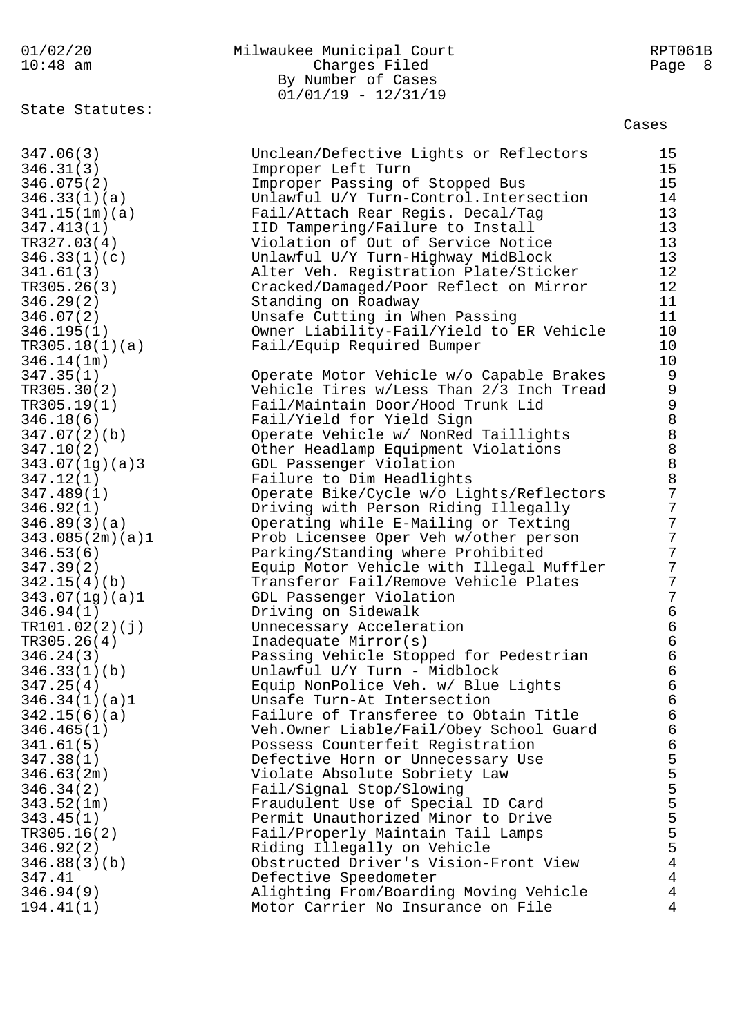## 01/02/20 Milwaukee Municipal Court RPT061B 10:48 am Charges Filed Page 8 By Number of Cases 01/01/19 - 12/31/19

State Statutes:

|                 |                                          | capco                                 |
|-----------------|------------------------------------------|---------------------------------------|
| 347.06(3)       | Unclean/Defective Lights or Reflectors   | 15                                    |
| 346.31(3)       | Improper Left Turn                       | 15                                    |
| 346.075(2)      | Improper Passing of Stopped Bus          | 15                                    |
| 346.33(1)(a)    | Unlawful U/Y Turn-Control. Intersection  | 14                                    |
| 341.15(1m)(a)   | Fail/Attach Rear Regis. Decal/Tag        | 13                                    |
| 347.413(1)      | IID Tampering/Failure to Install         | 13                                    |
| TR327.03(4)     | Violation of Out of Service Notice       | 13                                    |
| 346.33(1)(c)    | Unlawful U/Y Turn-Highway MidBlock       | 13                                    |
| 341.61(3)       | Alter Veh. Registration Plate/Sticker    | 12                                    |
| TR305.26(3)     | Cracked/Damaged/Poor Reflect on Mirror   | 12                                    |
| 346.29(2)       | Standing on Roadway                      | 11                                    |
| 346.07(2)       | Unsafe Cutting in When Passing           | 11                                    |
| 346.195(1)      | Owner Liability-Fail/Yield to ER Vehicle | 10                                    |
| TR305.18(1)(a)  | Fail/Equip Required Bumper               | 10                                    |
|                 |                                          | 10                                    |
| 346.14(1m)      |                                          |                                       |
| 347.35(1)       | Operate Motor Vehicle w/o Capable Brakes | $\overline{9}$                        |
| TR305.30(2)     | Vehicle Tires w/Less Than 2/3 Inch Tread | $\begin{array}{c} 9 \\ 9 \end{array}$ |
| TR305.19(1)     | Fail/Maintain Door/Hood Trunk Lid        |                                       |
| 346.18(6)       | Fail/Yield for Yield Sign                | $\,8\,$                               |
| 347.07(2)(b)    | Operate Vehicle w/ NonRed Taillights     | $\,8\,$                               |
| 347.10(2)       | Other Headlamp Equipment Violations      | $\,8\,$                               |
| 343.07(1g)(a)3  | GDL Passenger Violation                  | $\,8\,$                               |
| 347.12(1)       | Failure to Dim Headlights                | $\,8\,$                               |
| 347.489(1)      | Operate Bike/Cycle w/o Lights/Reflectors | $\overline{7}$                        |
| 346.92(1)       | Driving with Person Riding Illegally     | 7                                     |
| 346.89(3)(a)    | Operating while E-Mailing or Texting     | $\sqrt{ }$                            |
| 343.085(2m)(a)1 | Prob Licensee Oper Veh w/other person    | $\sqrt{ }$                            |
| 346.53(6)       | Parking/Standing where Prohibited        | $\sqrt{ }$                            |
| 347.39(2)       | Equip Motor Vehicle with Illegal Muffler | $\sqrt{ }$                            |
| 342.15(4)(b)    | Transferor Fail/Remove Vehicle Plates    | $\sqrt{ }$                            |
| 343.07(1g)(a)1  | GDL Passenger Violation                  | $\boldsymbol{7}$                      |
| 346.94(1)       | Driving on Sidewalk                      | $\epsilon$                            |
| TR101.02(2)(j)  | Unnecessary Acceleration                 | $\epsilon$                            |
| TR305.26(4)     | Inadequate Mirror(s)                     | $\sqrt{6}$                            |
| 346.24(3)       | Passing Vehicle Stopped for Pedestrian   | $\sqrt{6}$                            |
| 346.33(1)(b)    | Unlawful U/Y Turn - Midblock             | 6                                     |
| 347.25(4)       | Equip NonPolice Veh. w/ Blue Lights      | 6                                     |
| 346.34(1)(a)1   | Unsafe Turn-At Intersection              | 6                                     |
| 342.15(6)(a)    | Failure of Transferee to Obtain Title    | $\epsilon$                            |
| 346.465(1)      | Veh.Owner Liable/Fail/Obey School Guard  | $\epsilon$                            |
| 341.61(5)       | Possess Counterfeit Registration         | $\epsilon$                            |
| 347.38(1)       | Defective Horn or Unnecessary Use        | 5                                     |
| 346.63(2m)      | Violate Absolute Sobriety Law            | 5                                     |
| 346.34(2)       | Fail/Signal Stop/Slowing                 | 5                                     |
| 343.52(1m)      | Fraudulent Use of Special ID Card        | 5                                     |
| 343.45(1)       | Permit Unauthorized Minor to Drive       | 5                                     |
| TR305.16(2)     | Fail/Properly Maintain Tail Lamps        | 5                                     |
| 346.92(2)       | Riding Illegally on Vehicle              | 5                                     |
| 346.88(3)(b)    | Obstructed Driver's Vision-Front View    | $\,4$                                 |
| 347.41          | Defective Speedometer                    | $\overline{4}$                        |
| 346.94(9)       | Alighting From/Boarding Moving Vehicle   | 4                                     |
| 194.41(1)       | Motor Carrier No Insurance on File       | 4                                     |
|                 |                                          |                                       |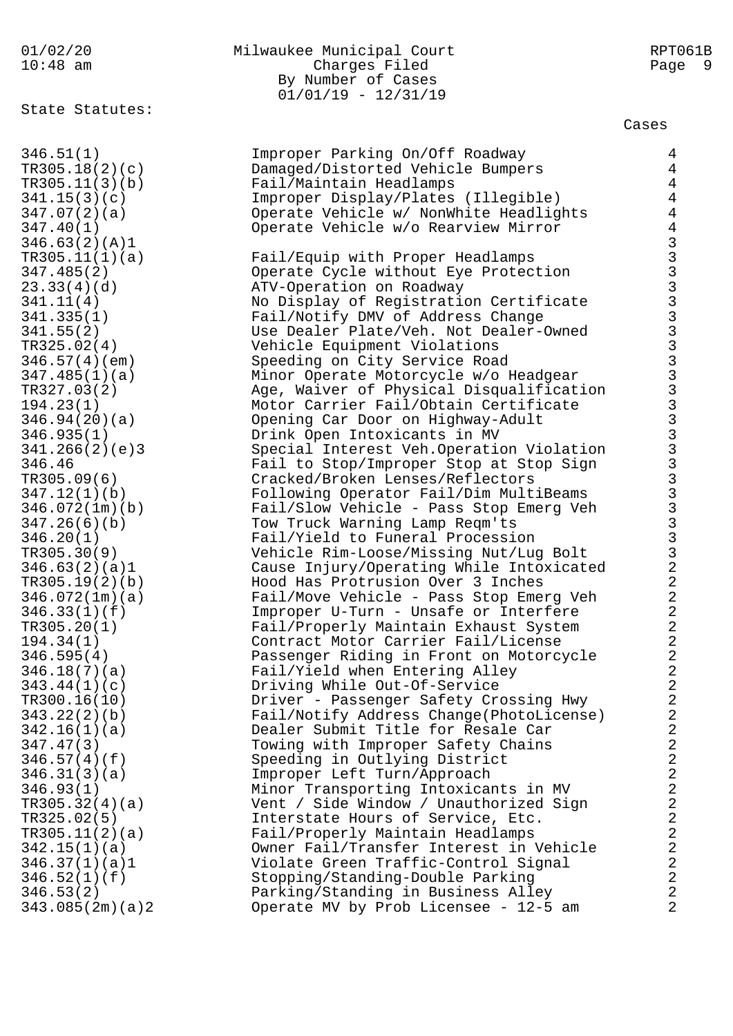State Statutes:

# 01/02/20 Milwaukee Municipal Court RPT061B 10:48 am Charges Filed Page 9 By Number of Cases 01/01/19 - 12/31/19

| 346.51(1)       | Improper Parking On/Off Roadway           | $\overline{4}$                               |
|-----------------|-------------------------------------------|----------------------------------------------|
| TR305.18(2)(c)  | Damaged/Distorted Vehicle Bumpers         | $\overline{4}$                               |
| TR305.11(3)(b)  | Fail/Maintain Headlamps                   | $\overline{4}$                               |
| 341.15(3)(c)    | Improper Display/Plates (Illegible)       | $\overline{4}$                               |
| 347.07(2)(a)    | Operate Vehicle w/ NonWhite Headlights    | $\overline{4}$                               |
| 347.40(1)       | Operate Vehicle w/o Rearview Mirror       | $\overline{4}$                               |
| 346.63(2)(A)1   |                                           |                                              |
|                 |                                           |                                              |
| TR305.11(1)(a)  | Fail/Equip with Proper Headlamps          |                                              |
| 347.485(2)      | Operate Cycle without Eye Protection      |                                              |
| 23.33(4)(d)     | ATV-Operation on Roadway                  |                                              |
| 341.11(4)       | No Display of Registration Certificate    |                                              |
| 341.335(1)      | Fail/Notify DMV of Address Change         |                                              |
| 341.55(2)       | Use Dealer Plate/Veh. Not Dealer-Owned    |                                              |
| TR325.02(4)     | Vehicle Equipment Violations              |                                              |
| 346.57(4)(em)   | Speeding on City Service Road             |                                              |
| 347.485(1)(a)   | Minor Operate Motorcycle w/o Headgear     |                                              |
| TR327.03(2)     | Age, Waiver of Physical Disqualification  |                                              |
| 194.23(1)       | Motor Carrier Fail/Obtain Certificate     |                                              |
| 346.94(20)(a)   | Opening Car Door on Highway-Adult         |                                              |
| 346.935(1)      | Drink Open Intoxicants in MV              |                                              |
| 341.266(2)(e)3  | Special Interest Veh. Operation Violation |                                              |
| 346.46          | Fail to Stop/Improper Stop at Stop Sign   |                                              |
| TR305.09(6)     | Cracked/Broken Lenses/Reflectors          |                                              |
| 347.12(1)(b)    | Following Operator Fail/Dim MultiBeams    |                                              |
| 346.072(1m)(b)  | Fail/Slow Vehicle - Pass Stop Emerg Veh   |                                              |
| 347.26(6)(b)    | Tow Truck Warning Lamp Reqm'ts            |                                              |
| 346.20(1)       | Fail/Yield to Funeral Procession          |                                              |
| TR305.30(9)     | Vehicle Rim-Loose/Missing Nut/Lug Bolt    |                                              |
| 346.63(2)(a)1   | Cause Injury/Operating While Intoxicated  | $\boldsymbol{2}$                             |
|                 |                                           | $\sqrt{2}$                                   |
| TR305.19(2)(b)  | Hood Has Protrusion Over 3 Inches         |                                              |
| 346.072(1m)(a)  | Fail/Move Vehicle - Pass Stop Emerg Veh   | $\boldsymbol{2}$                             |
| 346.33(1)(f)    | Improper U-Turn - Unsafe or Interfere     | $\overline{2}$                               |
| TR305.20(1)     | Fail/Properly Maintain Exhaust System     | $\overline{2}$                               |
| 194.34(1)       | Contract Motor Carrier Fail/License       | $\boldsymbol{2}$                             |
| 346.595(4)      | Passenger Riding in Front on Motorcycle   | $\overline{2}$                               |
| 346.18(7)(a)    | Fail/Yield when Entering Alley            | $\overline{2}$                               |
| 343.44(1)(c)    | Driving While Out-Of-Service              | $\sqrt{2}$                                   |
| TR300.16(10)    | Driver - Passenger Safety Crossing Hwy    | $\sqrt{2}$                                   |
| 343.22(2)(b)    | Fail/Notify Address Change(PhotoLicense)  | $\overline{2}$                               |
| 342.16(1)(a)    | Dealer Submit Title for Resale Car        | $\overline{2}$                               |
| 347.47(3)       | Towing with Improper Safety Chains        | $\overline{2}$                               |
| 346.57(4)(f)    | Speeding in Outlying District             | $\sqrt{2}$                                   |
| 346.31(3)(a)    | Improper Left Turn/Approach               | $\begin{array}{c}\n2 \\ 2 \\ 2\n\end{array}$ |
| 346.93(1)       | Minor Transporting Intoxicants in MV      |                                              |
| TR305.32(4)(a)  | Vent / Side Window / Unauthorized Sign    |                                              |
| TR325.02(5)     | Interstate Hours of Service, Etc.         |                                              |
| TR305.11(2)(a)  | Fail/Properly Maintain Headlamps          | $\overline{a}$                               |
| 342.15(1)(a)    | Owner Fail/Transfer Interest in Vehicle   | $\overline{a}$                               |
| 346.37(1)(a)1   | Violate Green Traffic-Control Signal      | $\sqrt{2}$                                   |
| 346.52(1)(f)    | Stopping/Standing-Double Parking          | $\sqrt{2}$                                   |
| 346.53(2)       | Parking/Standing in Business Alley        | $\overline{2}$                               |
| 343.085(2m)(a)2 | Operate MV by Prob Licensee - 12-5 am     | $\overline{a}$                               |
|                 |                                           |                                              |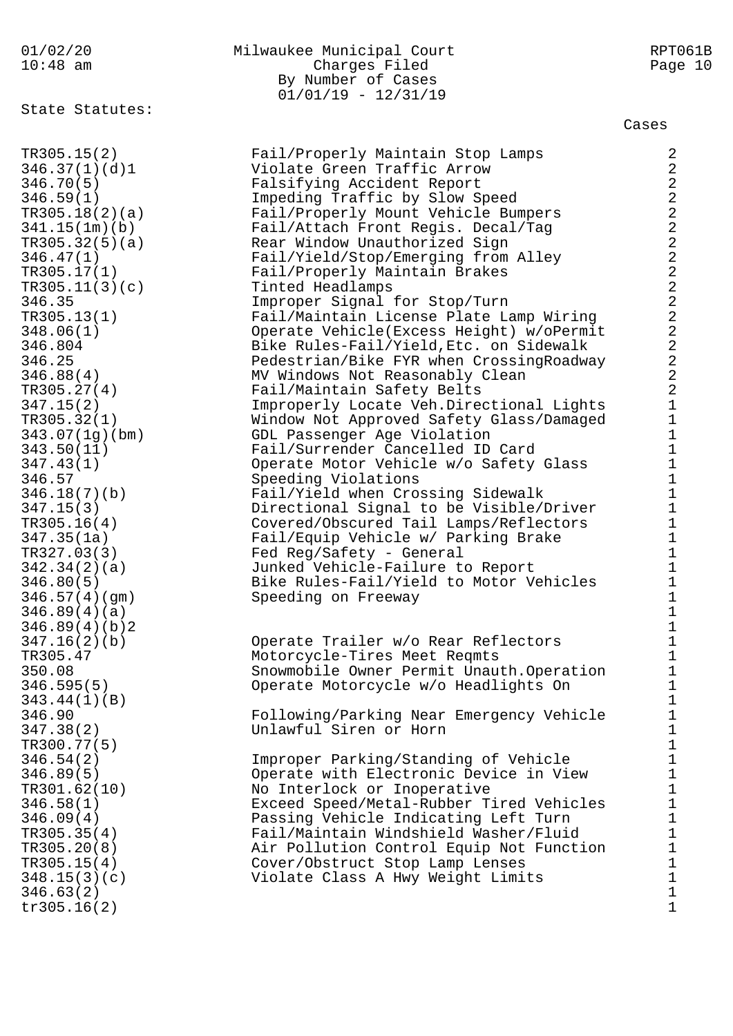01/02/20 Milwaukee Municipal Court RPT061B 10:48 am Charges Filed Page 10 By Number of Cases 01/01/19 - 12/31/19 State Statutes: Cases TR305.15(2) Fail/Properly Maintain Stop Lamps 2 346.37(1)(d)1 Violate Green Traffic Arrow 2 346.70(5) Falsifying Accident Report 2 346.59(1) Impeding Traffic by Slow Speed 2 TR305.18(2)(a) Fail/Properly Mount Vehicle Bumpers 2 341.15(1m)(b) Fail/Attach Front Regis. Decal/Tag 2 TR305.32(5)(a) Rear Window Unauthorized Sign 2 346.47(1) Fail/Yield/Stop/Emerging from Alley 2 TR305.17(1) Fail/Properly Maintain Brakes 2 TR305.11(3)(c) Tinted Headlamps 2 346.35 Improper Signal for Stop/Turn 2 TR305.13(1) Fail/Maintain License Plate Lamp Wiring 2 348.06(1) Operate Vehicle(Excess Height) w/oPermit 2 346.804 Bike Rules-Fail/Yield,Etc. on Sidewalk 2 346.25 Pedestrian/Bike FYR when CrossingRoadway 2 346.88(4) MV Windows Not Reasonably Clean 2 TR305.27(4) Fail/Maintain Safety Belts 2 347.15(2) Improperly Locate Veh.Directional Lights 1 TR305.32(1) Window Not Approved Safety Glass/Damaged 1 343.07(1g)(bm) GDL Passenger Age Violation 1 343.50(11) Fail/Surrender Cancelled ID Card 1 347.43(1) Operate Motor Vehicle w/o Safety Glass 1 346.57 Speeding Violations 346.57 346.18(7)(b) Fail/Yield when Crossing Sidewalk 1 347.15(3) Directional Signal to be Visible/Driver 1 TR305.16(4) Covered/Obscured Tail Lamps/Reflectors 1 347.35(1a) Fail/Equip Vehicle w/ Parking Brake 1 TR327.03(3) Fed Reg/Safety - General 1 342.34(2)(a) Junked Vehicle-Failure to Report 1 346.80(5) Bike Rules-Fail/Yield to Motor Vehicles 1 346.57(4)(gm) Speeding on Freeway 1  $346.89(4)(a)$  1 346.89(4)(b)2 1 347.16(2)(b) Operate Trailer w/o Rear Reflectors 1 TR305.47 Motorcycle-Tires Meet Reqmts 1 350.08 Snowmobile Owner Permit Unauth.Operation 1 346.595(5) Operate Motorcycle w/o Headlights On 1 343.44(1)(B) 1 346.90 Following/Parking Near Emergency Vehicle 1 347.38(2) Unlawful Siren or Horn 1  $TR300.77(5)$  1 346.54(2) Improper Parking/Standing of Vehicle 1 346.89(5) Operate with Electronic Device in View 1 TR301.62(10) No Interlock or Inoperative 1 346.58(1) Exceed Speed/Metal-Rubber Tired Vehicles 1 346.09(4) Passing Vehicle Indicating Left Turn 1 TR305.35(4) Fail/Maintain Windshield Washer/Fluid 1 TR305.20(8) Air Pollution Control Equip Not Function 1 TR305.15(4) Cover/Obstruct Stop Lamp Lenses 1 348.15(3)(c) Violate Class A Hwy Weight Limits 1  $346.63(2)$  1  $tr305.16(2)$  1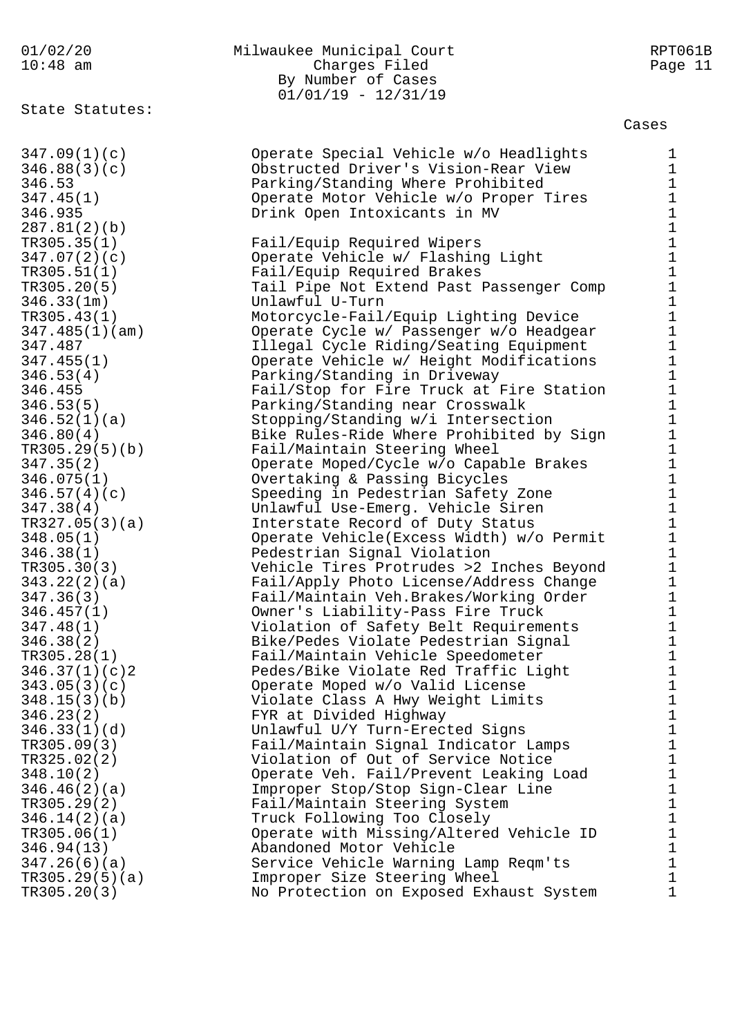State Statutes:

# 01/02/20 Milwaukee Municipal Court RPT061B 10:48 am Charges Filed Page 11 By Number of Cases 01/01/19 - 12/31/19

Cases

347.09(1)(c) Operate Special Vehicle w/o Headlights 1 346.88(3)(c) Obstructed Driver's Vision-Rear View 1 346.53 Parking/Standing Where Prohibited 1 347.45(1) Operate Motor Vehicle w/o Proper Tires 1 346.935 Drink Open Intoxicants in MV 1 287.81(2)(b) 1 TR305.35(1) Fail/Equip Required Wipers 1 347.07(2)(c) Operate Vehicle w/ Flashing Light 1 TR305.51(1) Fail/Equip Required Brakes 1 TR305.20(5) Tail Pipe Not Extend Past Passenger Comp 1 346.33(1m) Unlawful U-Turn 1 TR305.43(1) Motorcycle-Fail/Equip Lighting Device 1 347.485(1)(am) Operate Cycle w/ Passenger w/o Headgear 1 347.487 Illegal Cycle Riding/Seating Equipment 1 347.455(1) Operate Vehicle w/ Height Modifications 1 346.53(4) Parking/Standing in Driveway 1 346.455 Fail/Stop for Fire Truck at Fire Station 1 346.53(5) Parking/Standing near Crosswalk 1 346.52(1)(a) Stopping/Standing w/i Intersection 1 346.80(4) Bike Rules-Ride Where Prohibited by Sign 1 TR305.29(5)(b) Fail/Maintain Steering Wheel 1 347.35(2) Operate Moped/Cycle w/o Capable Brakes 1 346.075(1) Overtaking & Passing Bicycles 1 346.57(4)(c) Speeding in Pedestrian Safety Zone 1 347.38(4) Unlawful Use-Emerg. Vehicle Siren 1 TR327.05(3)(a) Interstate Record of Duty Status 1 348.05(1) Operate Vehicle(Excess Width) w/o Permit 1 346.38(1) Pedestrian Signal Violation 1 TR305.30(3) Vehicle Tires Protrudes >2 Inches Beyond 1 343.22(2)(a) Fail/Apply Photo License/Address Change 1 347.36(3) Fail/Maintain Veh.Brakes/Working Order 1 346.457(1) Owner's Liability-Pass Fire Truck 1 347.48(1) Violation of Safety Belt Requirements 1 346.38(2) Bike/Pedes Violate Pedestrian Signal 1 TR305.28(1) Fail/Maintain Vehicle Speedometer 1 346.37(1)(c)2 Pedes/Bike Violate Red Traffic Light 1 343.05(3)(c) Operate Moped w/o Valid License 1 348.15(3)(b) Violate Class A Hwy Weight Limits 1 346.23(2) FYR at Divided Highway 1 346.33(1)(d) Unlawful U/Y Turn-Erected Signs 1 TR305.09(3) Fail/Maintain Signal Indicator Lamps 1 TR325.02(2) Violation of Out of Service Notice 1 348.10(2) Operate Veh. Fail/Prevent Leaking Load 1 346.46(2)(a) Improper Stop/Stop Sign-Clear Line 1 TR305.29(2) Fail/Maintain Steering System 1 346.14(2)(a) Truck Following Too Closely 1 TR305.06(1) Operate with Missing/Altered Vehicle ID 1 346.94(13) Abandoned Motor Vehicle 1 347.26(6)(a) Service Vehicle Warning Lamp Reqm'ts 1 TR305.29(5)(a) Improper Size Steering Wheel 1 TR305.20(3) No Protection on Exposed Exhaust System 1